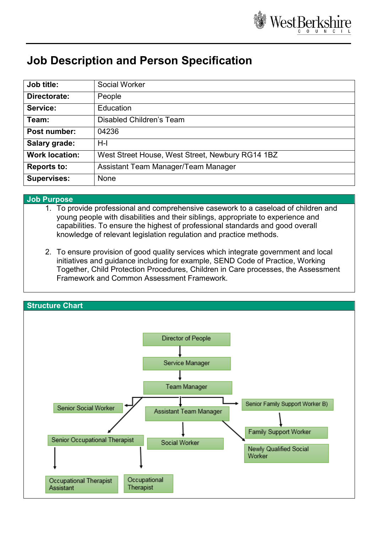

## **Job Description and Person Specification**

| Job title:            | <b>Social Worker</b>                             |
|-----------------------|--------------------------------------------------|
| Directorate:          | People                                           |
| Service:              | Education                                        |
| Team:                 | Disabled Children's Team                         |
| Post number:          | 04236                                            |
| Salary grade:         | $H-I$                                            |
| <b>Work location:</b> | West Street House, West Street, Newbury RG14 1BZ |
| <b>Reports to:</b>    | Assistant Team Manager/Team Manager              |
| <b>Supervises:</b>    | <b>None</b>                                      |

## **Job Purpose**

1. To provide professional and comprehensive casework to a caseload of children and young people with disabilities and their siblings, appropriate to experience and capabilities. To ensure the highest of professional standards and good overall knowledge of relevant legislation regulation and practice methods.

2. To ensure provision of good quality services which integrate government and local initiatives and guidance including for example, SEND Code of Practice, Working Together, Child Protection Procedures, Children in Care processes, the Assessment Framework and Common Assessment Framework.

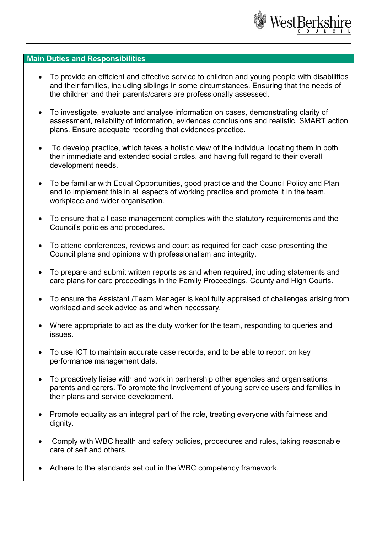

## **Main Duties and Responsibilities**

- To provide an efficient and effective service to children and young people with disabilities and their families, including siblings in some circumstances. Ensuring that the needs of the children and their parents/carers are professionally assessed.
- To investigate, evaluate and analyse information on cases, demonstrating clarity of assessment, reliability of information, evidences conclusions and realistic, SMART action plans. Ensure adequate recording that evidences practice.
- To develop practice, which takes a holistic view of the individual locating them in both their immediate and extended social circles, and having full regard to their overall development needs.
- To be familiar with Equal Opportunities, good practice and the Council Policy and Plan and to implement this in all aspects of working practice and promote it in the team, workplace and wider organisation.
- To ensure that all case management complies with the statutory requirements and the Council's policies and procedures.
- To attend conferences, reviews and court as required for each case presenting the Council plans and opinions with professionalism and integrity.
- To prepare and submit written reports as and when required, including statements and care plans for care proceedings in the Family Proceedings, County and High Courts.
- To ensure the Assistant /Team Manager is kept fully appraised of challenges arising from workload and seek advice as and when necessary.
- Where appropriate to act as the duty worker for the team, responding to queries and issues.
- To use ICT to maintain accurate case records, and to be able to report on key performance management data.
- To proactively liaise with and work in partnership other agencies and organisations, parents and carers. To promote the involvement of young service users and families in their plans and service development.
- Promote equality as an integral part of the role, treating everyone with fairness and dignity.
- Comply with WBC health and safety policies, procedures and rules, taking reasonable care of self and others.
- Adhere to the standards set out in the WBC competency framework.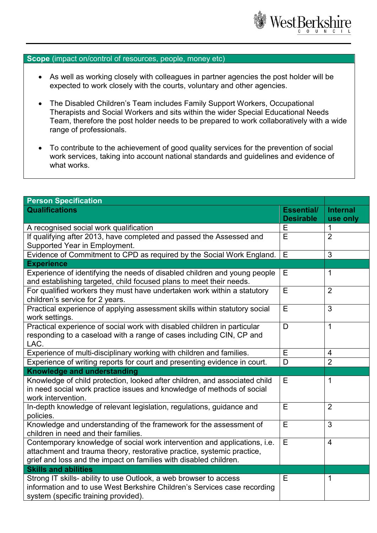

## **Scope** (impact on/control of resources, people, money etc)

- As well as working closely with colleagues in partner agencies the post holder will be expected to work closely with the courts, voluntary and other agencies.
- The Disabled Children's Team includes Family Support Workers, Occupational Therapists and Social Workers and sits within the wider Special Educational Needs Team, therefore the post holder needs to be prepared to work collaboratively with a wide range of professionals.
- To contribute to the achievement of good quality services for the prevention of social work services, taking into account national standards and guidelines and evidence of what works.

| <b>Person Specification</b>                                                                                                                                                                                              |                                       |                             |  |
|--------------------------------------------------------------------------------------------------------------------------------------------------------------------------------------------------------------------------|---------------------------------------|-----------------------------|--|
| <b>Qualifications</b>                                                                                                                                                                                                    | <b>Essential/</b><br><b>Desirable</b> | <b>Internal</b><br>use only |  |
| A recognised social work qualification                                                                                                                                                                                   |                                       | 1                           |  |
| If qualifying after 2013, have completed and passed the Assessed and                                                                                                                                                     | Ē                                     | $\overline{2}$              |  |
| Supported Year in Employment.                                                                                                                                                                                            |                                       |                             |  |
| Evidence of Commitment to CPD as required by the Social Work England.                                                                                                                                                    | E                                     | 3                           |  |
| <b>Experience</b>                                                                                                                                                                                                        |                                       |                             |  |
| Experience of identifying the needs of disabled children and young people<br>and establishing targeted, child focused plans to meet their needs.                                                                         | Е                                     | 1                           |  |
| For qualified workers they must have undertaken work within a statutory<br>children's service for 2 years.                                                                                                               | E                                     | $\overline{2}$              |  |
| Practical experience of applying assessment skills within statutory social<br>work settings.                                                                                                                             | E                                     | $\overline{3}$              |  |
| Practical experience of social work with disabled children in particular<br>responding to a caseload with a range of cases including CIN, CP and<br>LAC.                                                                 | D                                     | 1                           |  |
| Experience of multi-disciplinary working with children and families.                                                                                                                                                     | E                                     | $\overline{4}$              |  |
| Experience of writing reports for court and presenting evidence in court.                                                                                                                                                | D                                     | $\overline{2}$              |  |
| <b>Knowledge and understanding</b>                                                                                                                                                                                       |                                       |                             |  |
| Knowledge of child protection, looked after children, and associated child<br>in need social work practice issues and knowledge of methods of social<br>work intervention.                                               | E                                     | 1                           |  |
| In-depth knowledge of relevant legislation, regulations, guidance and<br>policies.                                                                                                                                       | E                                     | $\overline{2}$              |  |
| Knowledge and understanding of the framework for the assessment of<br>children in need and their families.                                                                                                               | E                                     | $\mathbf{3}$                |  |
| Contemporary knowledge of social work intervention and applications, i.e.<br>attachment and trauma theory, restorative practice, systemic practice,<br>grief and loss and the impact on families with disabled children. | Ē                                     | $\overline{4}$              |  |
| <b>Skills and abilities</b>                                                                                                                                                                                              |                                       |                             |  |
| Strong IT skills- ability to use Outlook, a web browser to access<br>information and to use West Berkshire Children's Services case recording<br>system (specific training provided).                                    | E                                     | 1                           |  |